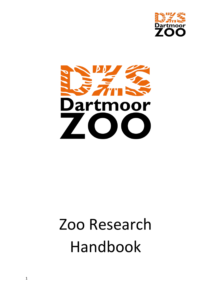



# Zoo Research Handbook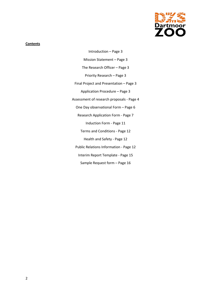

### **Contents**

Introduction – Page 3 Mission Statement – Page 3 The Research Officer – Page 3 Priority Research – Page 3 Final Project and Presentation – Page 3 Application Procedure – Page 3 Assessment of research proposals - Page 4 One Day observational Form – Page 6 Research Application Form - Page 7 Induction Form - Page 11 Terms and Conditions - Page 12 Health and Safety - Page 12 Public Relations Information - Page 12 Interim Report Template - Page 15 Sample Request form – Page 16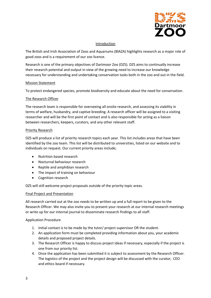

# Introduction

The British and Irish Association of Zoos and Aquariums (BIAZA) highlights research as a major role of good zoos and is a requirement of our zoo licence.

Research is one of the primary objectives of Dartmoor Zoo (DZS). DZS aims to continually increase their research potential and output in view of the growing need to increase our knowledge necessary for understanding and undertaking conservation tasks both in the zoo and out in the field.

# Mission Statement

To protect endangered species, promote biodiversity and educate about the need for conservation.

# The Research Officer

The research team is responsible for overseeing all onsite research, and assessing its viability in terms of welfare, husbandry, and captive breeding. A research officer will be assigned to a visiting researcher and will be the first point of contact and is also responsible for acting as a liaison between researchers, keepers, curators, and any other relevant staff.

# Priority Research

DZS will produce a list of priority research topics each year. This list includes areas that have been identified by the zoo team. This list will be distributed to universities, listed on our website and to individuals on request. Our current priority areas include;

- Nutrition based research
- Nocturnal behaviour research
- Reptile and amphibian research
- The impact of training on behaviour
- Cognition research

DZS will still welcome project proposals outside of the priority topic areas.

#### Final Project and Presentation

All research carried out at the zoo needs to be written up and a full report to be given to the Research Officer. We may also invite you to present your research at our internal research meetings or write up for our internal journal to disseminate research findings to all staff.

#### Application Procedure

- 1. Initial contact is to be made by the tutor/ project supervisor OR the student.
- 2. An application form must be completed providing information about you, your academic details and proposed project details.
- 3. The Research Officer is happy to discuss project ideas if necessary, especially if the project is one from our priority list.
- 4. Once the application has been submitted it is subject to assessment by the Research Officer. The logistics of the project and the project design will be discussed with the curator, CEO and ethics board if necessary.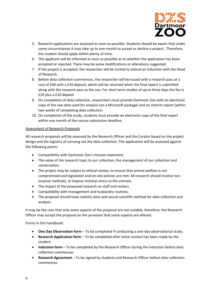

- 5. Research applications are assessed as soon as possible. Students should be aware that under some circumstances it may take up to one month to accept or decline a project.. Therefore, the student should apply within plenty of time.
- 6. The applicant will be informed as soon as possible as to whether the application has been accepted or rejected. There may be some modifications or alterations suggested.
- 7. If the project is accepted, the researcher will be invited to attend an induction with the Head of Research.
- 8. Before data collection commences, the researcher will be issued with a research pass at a cost of £40 with a £20 deposit, which will be returned when the final report is submitted along with the research pass to the zoo. For short term studies of up to three days the fee is £20 plus a £10 deposit.
- 9. On completion of data collection, researchers must provide Dartmoor Zoo with an electronic copy of the raw data used for analysis (on a Microsoft package) and an interim report (within two weeks of completing data collection.
- 10. On completion of the study, students must provide an electronic copy of the final report within one month of the course submission deadline.

# Assessment of Research Proposals

All research proposals will be assessed by the Research Officer and the Curator based on the project design and the logistics of carrying out the data collection. The application will be assessed against the following points:

- Compatibility with Dartmoor Zoo's mission statement.
- The value of the research topic to our collection, the management of our collection and conservation.
- The project may be subject to ethical review, to ensure that animal welfare is not compromised and legislation and on-site policies are met. All research should involve noninvasive methods, to impose minimal stress to the animals.
- The impact of the proposed research on staff and visitors.
- Compatibility with management and husbandry routines.
- The proposal should have realistic aims and sound scientific method for data collection and analysis.

It may be the case that only some aspects of the proposal are not suitable, therefore, the Research Officer may accept the proposal on the provision that some aspects are altered.

Forms in this handbook:

- **One Day Observation form** To be completed if conducting a one-day observational study.
- **Research Application form** To be completed after initial contact has been made by the student.
- **Induction form** To be completed by the Research Officer during the induction before data collection commences
- **Research Agreement** To be signed by students and Research Officer before data collection commences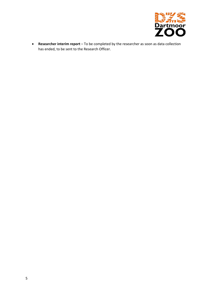

• **Researcher interim report** – To be completed by the researcher as soon as data collection has ended, to be sent to the Research Officer.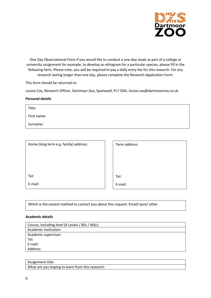

One Day Observational Form if you would like to conduct a one-day study as part of a college or university assignment for example, to develop an ethogram for a particular species, please fill in the following form. Please note, you will be required to pay a daily entry fee for this research. For any research lasting longer than one day, please complete the Research Application Form.

This form should be returned to:

Louise Cox, Research Officer, Dartmoor Zoo, Sparkwell, PL7 5DG. louise.cox@dartmoorzoo.co.uk

#### **Personal details**

Title:

First name:

Surname:

| Home (long term e.g. family) address: |  |
|---------------------------------------|--|
|                                       |  |
|                                       |  |
|                                       |  |
| Tel:                                  |  |
| E-mail:                               |  |

Term address:

Tel:

E-mail:

Which is the easiest method to contact you about this request: Email/ post/ other

#### **Academic details**

| Course, including level (A Levels / BSc / MSc): |
|-------------------------------------------------|
| Academic institution:                           |
| Academic supervisor:                            |
| Tel:                                            |
| E-mail:                                         |
| Address:                                        |
|                                                 |

## Assignment title:

What are you hoping to learn from this research: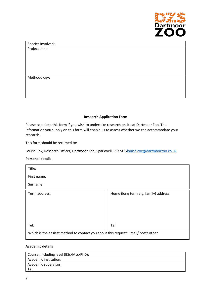

Species involved: Project aim:

Methodology:

# **Research Application Form**

Please complete this form if you wish to undertake research onsite at Dartmoor Zoo. The information you supply on this form will enable us to assess whether we can accommodate your research.

This form should be returned to:

Louise Cox, Research Officer, Dartmoor Zoo, Sparkwell, PL7 5DGlouise.cox@dartmoorzoo.co.uk

# **Personal details**

| Title:                                                                            |                                       |
|-----------------------------------------------------------------------------------|---------------------------------------|
| First name:                                                                       |                                       |
| Surname:                                                                          |                                       |
| Term address:                                                                     | Home (long term e.g. family) address: |
|                                                                                   |                                       |
|                                                                                   |                                       |
|                                                                                   |                                       |
| Tel:                                                                              | Tel:                                  |
| Which is the easiest method to contact you about this request: Email/ post/ other |                                       |

#### **Academic details**

| Course, including level (BSc/Msc/PhD): |
|----------------------------------------|
| Academic institution:                  |
| Academic supervisor:                   |
| Tel:                                   |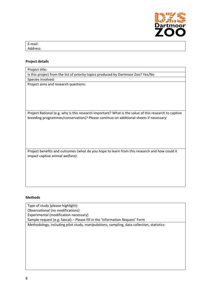

| E-mail:  |  |  |  |
|----------|--|--|--|
| Address: |  |  |  |

# **Project details**

| Project title:                                                                                       |
|------------------------------------------------------------------------------------------------------|
| Is this project from the list of priority topics produced by Dartmoor Zoo? Yes/No                    |
| Species involved:                                                                                    |
| Project aims and research questions:                                                                 |
|                                                                                                      |
|                                                                                                      |
|                                                                                                      |
|                                                                                                      |
|                                                                                                      |
| Project Rational (e.g. why is this research important? What is the value of this research to captive |
| breeding programmes/conservation)? Please continue on additional sheets if necessary:                |
|                                                                                                      |
|                                                                                                      |
|                                                                                                      |
|                                                                                                      |
|                                                                                                      |
| Project benefits and outcomes (what do you hope to learn from this research and how could it         |
| impact captive animal welfare):                                                                      |
|                                                                                                      |
|                                                                                                      |
|                                                                                                      |
|                                                                                                      |

# **Methods**

Type of study (please highlight): Observational (no modifications) Experimental (modification necessary) Sample request (e.g. faecal) – Please fill in the 'Information Request' Form

Methodology, including pilot study, manipulations, sampling, data collection, statistics: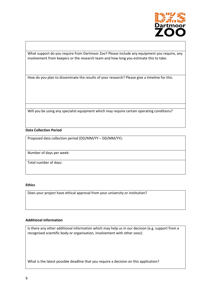

What support do you require from Dartmoor Zoo? Please include any equipment you require, any involvement from keepers or the research team and how long you estimate this to take.

How do you plan to disseminate the results of your research? Please give a timeline for this.

Will you be using any specialist equipment which may require certain operating conditions?

# **Data Collection Period**

Proposed data collection period (DD/MM/YY – DD/MM/YY):

Number of days per week:

Total number of days:

#### **Ethics**

Does your project have ethical approval from your university or institution?

# **Additional information**

Is there any other additional information which may help us in our decision (e.g. support from a recognised scientific body or organisation, involvement with other zoos):

What is the latest possible deadline that you require a decision on this application?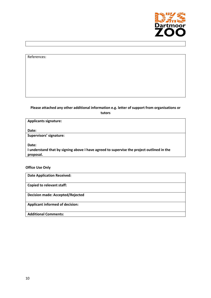

# References:

# **Please attached any other additional information e.g. letter of support from organisations or tutors**

| <b>Applicants signature:</b>                                                              |  |
|-------------------------------------------------------------------------------------------|--|
| Date:                                                                                     |  |
| Supervisors' signature:                                                                   |  |
| Date:                                                                                     |  |
| I understand that by signing above I have agreed to supervise the project outlined in the |  |
| proposal.                                                                                 |  |

# **Office Use Only**

**Date Application Received: Copied to relevant staff: Decision made: Accepted/Rejected Applicant informed of decision: Additional Comments:**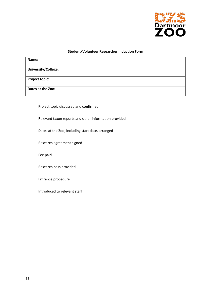

#### **Student/Volunteer Researcher Induction Form**

| Name:                      |  |
|----------------------------|--|
|                            |  |
| <b>University/College:</b> |  |
|                            |  |
| <b>Project topic:</b>      |  |
| Dates at the Zoo:          |  |

Project topic discussed and confirmed

Relevant taxon reports and other information provided

Dates at the Zoo, including start date, arranged

Research agreement signed

Fee paid

Research pass provided

Entrance procedure

Introduced to relevant staff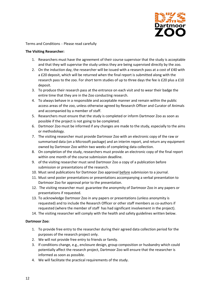

Terms and Conditions – Please read carefully

### **The Visiting Researcher:**

- 1. Researchers must have the agreement of their course supervisor that the study is acceptable and that they will supervise the study unless they are being supervised directly by the zoo.
- 2. On the induction day, the researcher will be issued with a research pass at a cost of £40 with a £20 deposit, which will be returned when the final report is submitted along with the research pass to the zoo. For short term studies of up to three days the fee is £20 plus a £10 deposit.
- 3. To produce their research pass at the entrance on each visit and to wear their badge the entire time that they are in the Zoo conducting research.
- 4. To always behave in a responsible and acceptable manner and remain within the public access areas of the zoo, unless otherwise agreed by Research Officer and Curator of Animals and accompanied by a member of staff.
- 5. Researchers must ensure that the study is completed or inform Dartmoor Zoo as soon as possible if the project is not going to be completed.
- 6. Dartmoor Zoo must be informed if any changes are made to the study, especially to the aims or methodology.
- 7. The visiting researcher must provide Dartmoor Zoo with an electronic copy of the raw or summarised data (on a Microsoft package) and an interim report, and return any equipment owned by Dartmoor Zoo within two weeks of completing data collection.
- 8. On completion of the study, researchers must provide an electronic copy of the final report within one month of the course submission deadline.
- 9. of the visiting researcher must send Dartmoor Zoo a copy of a publication before submission or presentations of the research.
- 10. Must send publications for Dartmoor Zoo approval before submission to a journal.
- 11. Must send poster presentations or presentations accompanying a verbal presentation to Dartmoor Zoo for approval prior to the presentation.
- 12. The visiting researcher must guarantee the anonymity of Dartmoor Zoo in any papers or presentations if requested.
- 13. To acknowledge Dartmoor Zoo in any papers or presentations (unless anonymity is requested) and to include the Research Officer or other staff members as co-authors if requested (where the member of staff has had significant involvement in the project).
- 14. The visiting researcher will comply with the health and safety guidelines written below.

# **Dartmoor Zoo:**

- 1. To provide free entry to the researcher during their agreed data collection period for the purposes of the research project only.
- 2. We will not provide free entry to friends or family.
- 3. If conditions change, e.g., enclosure design, group composition or husbandry which could potentially affect the research project, Dartmoor Zoo will ensure that the researcher is informed as soon as possible.
- 4. We will facilitate the practical requirements of the study.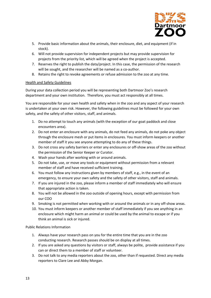

- 5. Provide basic information about the animals, their enclosure, diet, and equipment (if in stock).
- 6. Will not provide supervision for independent projects but may provide supervision for projects from the priority list, which will be agreed when the project is accepted.
- 7. Reserves the right to publish the data/project. In this case, the permission of the research will be sought, and the researcher will be named as a co-author.
- 8. Retains the right to revoke agreements or refuse admission to the zoo at any time.

# Health and Safety Guidelines

During your data collection period you will be representing both Dartmoor Zoo's research department and your own institution. Therefore, you must act responsibly at all times.

You are responsible for your own health and safety when in the zoo and any aspect of your research is undertaken at your own risk. However, the following guidelines must be followed for your own safety, and the safety of other visitors, staff, and animals.

- 1. Do no attempt to touch any animals (with the exception of our goat paddock and close encounters area).
- 2. Do not enter an enclosure with any animals, do not feed any animals, do not poke any object through the enclosure mesh or put items in enclosures. You must inform keepers or another member of staff it you see anyone attempting to do any of these things.
- 3. Do not cross any safety barriers or enter any enclosures or off-show areas of the zoo without the permission of the Senior Keeper or Curator.
- 4. Wash your hands after working with or around animals.
- 5. Do not take, use, or move any tools or equipment without permission from a relevant member of staff and have received sufficient training.
- 6. You must follow any instructions given by members of staff, e.g., in the event of an emergency, to ensure your own safety and the safety of other visitors, staff and animals.
- 7. If you are injured in the zoo, please inform a member of staff immediately who will ensure that appropriate action is taken.
- 8. You will not be allowed in the zoo outside of opening hours, except with permission from our COO
- 9. Smoking is not permitted when working with or around the animals or in any off-show areas.
- 10. You must inform keepers or another member of staff immediately if you see anything in an enclosure which might harm an animal or could be used by the animal to escape or if you think an animal is sick or injured.

Public Relations Information

- 1. Always have your research pass on you for the entire time that you are in the zoo conducting research. Research passes should be on display at all times.
- 2. If you are asked any questions by visitors or staff, always be polite, provide assistance if you can or direct them to a member of staff or volunteer.
- 3. Do not talk to any media reporters about the zoo, other than if requested. Direct any media reporters to Clare Lee and Abby Morgan.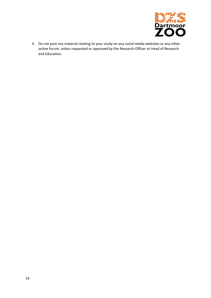

4. Do not post any material relating to your study on any social media websites or any other online forum, unless requested or approved by the Research Officer or Head of Research and Education.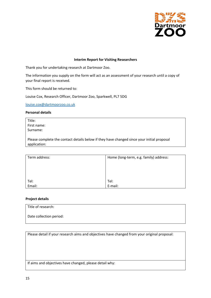

#### **Interim Report for Visiting Researchers**

Thank you for undertaking research at Dartmoor Zoo.

The information you supply on the form will act as an assessment of your research until a copy of your final report is received.

This form should be returned to:

Louise Cox, Research Officer, Dartmoor Zoo, Sparkwell, PL7 5DG

louise.cox@dartmoorzoo.co.uk

#### **Personal details**

Title: First name: Surname:

Please complete the contact details below if they have changed since your initial proposal application:

| Term address:  | Home (long-term, e.g. family) address: |
|----------------|----------------------------------------|
|                |                                        |
|                |                                        |
|                |                                        |
| Tel:<br>Email: | Tel:                                   |
|                | E-mail:                                |

#### **Project details**

Title of research: Date collection period:

Please detail if your research aims and objectives have changed from your original proposal:

If aims and objectives have changed, please detail why: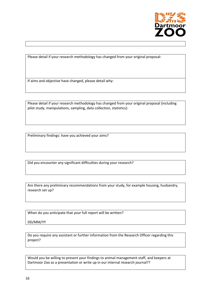

Please detail if your research methodology has changed from your original proposal:

If aims and objective have changed, please detail why:

Please detail if your research methodology has changed from your original proposal (including pilot study, manipulations, sampling, data collection, statistics):

Preliminary findings: have you achieved your aims?

Did you encounter any significant difficulties during your research?

Are there any preliminary recommendations from your study, for example housing, husbandry, research set up?

When do you anticipate that your full report will be written?

DD/MM/YY

Do you require any assistant or further information from the Research Officer regarding this project?

Would you be willing to present your findings to animal management staff, and keepers at Dartmoor Zoo as a presentation or write up in our internal research journal??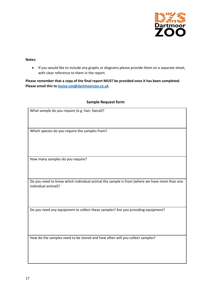

#### **Notes:**

• If you would like to include any graphs or diagrams please provide them on a separate sheet, with clear reference to them in the report.

**Please remember that a copy of the final report MUST be provided once it has been completed. Please email this to louise.cox@dartmoorzoo.co.uk**

# **Sample Request form**

| What sample do you require (e.g. hair, faecal)?                                                                    |
|--------------------------------------------------------------------------------------------------------------------|
|                                                                                                                    |
| Which species do you require the samples from?                                                                     |
|                                                                                                                    |
|                                                                                                                    |
| How many samples do you require?                                                                                   |
|                                                                                                                    |
| Do you need to know which individual animal the sample is from (where we have more than one<br>individual animal)? |
|                                                                                                                    |
| Do you need any equipment to collect these samples? Are you providing equipment?                                   |
|                                                                                                                    |
|                                                                                                                    |
| How do the samples need to be stored and how often will you collect samples?                                       |
|                                                                                                                    |
|                                                                                                                    |
|                                                                                                                    |